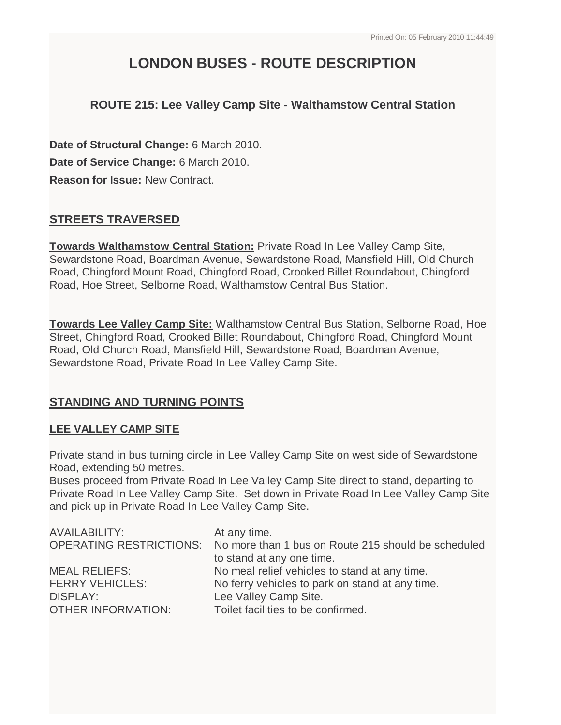# **LONDON BUSES - ROUTE DESCRIPTION**

# **ROUTE 215: Lee Valley Camp Site - Walthamstow Central Station**

**Date of Structural Change:** 6 March 2010. **Date of Service Change:** 6 March 2010. **Reason for Issue:** New Contract.

## **STREETS TRAVERSED**

**Towards Walthamstow Central Station:** Private Road In Lee Valley Camp Site, Sewardstone Road, Boardman Avenue, Sewardstone Road, Mansfield Hill, Old Church Road, Chingford Mount Road, Chingford Road, Crooked Billet Roundabout, Chingford Road, Hoe Street, Selborne Road, Walthamstow Central Bus Station.

**Towards Lee Valley Camp Site:** Walthamstow Central Bus Station, Selborne Road, Hoe Street, Chingford Road, Crooked Billet Roundabout, Chingford Road, Chingford Mount Road, Old Church Road, Mansfield Hill, Sewardstone Road, Boardman Avenue, Sewardstone Road, Private Road In Lee Valley Camp Site.

## **STANDING AND TURNING POINTS**

#### **LEE VALLEY CAMP SITE**

Private stand in bus turning circle in Lee Valley Camp Site on west side of Sewardstone Road, extending 50 metres.

Buses proceed from Private Road In Lee Valley Camp Site direct to stand, departing to Private Road In Lee Valley Camp Site. Set down in Private Road In Lee Valley Camp Site and pick up in Private Road In Lee Valley Camp Site.

| <b>AVAILABILITY:</b>      | At any time.                                                                |
|---------------------------|-----------------------------------------------------------------------------|
|                           | OPERATING RESTRICTIONS: No more than 1 bus on Route 215 should be scheduled |
|                           | to stand at any one time.                                                   |
| <b>MEAL RELIEFS:</b>      | No meal relief vehicles to stand at any time.                               |
| <b>FERRY VEHICLES:</b>    | No ferry vehicles to park on stand at any time.                             |
| <b>DISPLAY:</b>           | Lee Valley Camp Site.                                                       |
| <b>OTHER INFORMATION:</b> | Toilet facilities to be confirmed.                                          |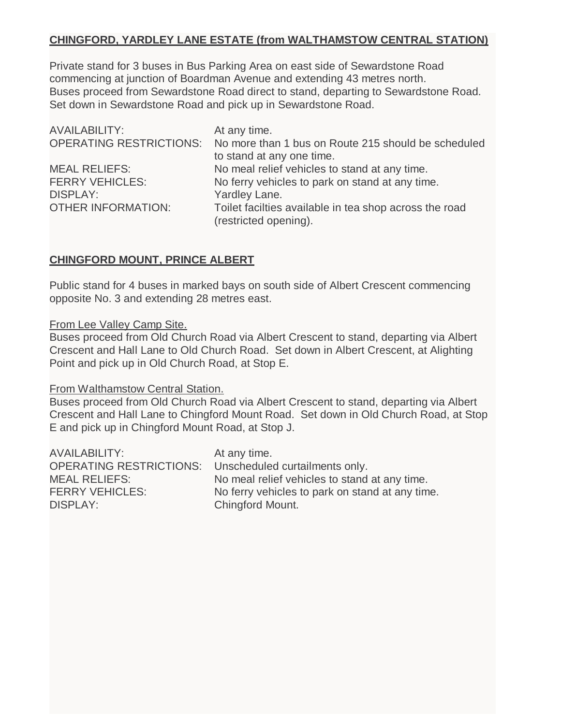## **CHINGFORD, YARDLEY LANE ESTATE (from WALTHAMSTOW CENTRAL STATION)**

Private stand for 3 buses in Bus Parking Area on east side of Sewardstone Road commencing at junction of Boardman Avenue and extending 43 metres north. Buses proceed from Sewardstone Road direct to stand, departing to Sewardstone Road. Set down in Sewardstone Road and pick up in Sewardstone Road.

| <b>AVAILABILITY:</b>      | At any time.                                                                |
|---------------------------|-----------------------------------------------------------------------------|
|                           | OPERATING RESTRICTIONS: No more than 1 bus on Route 215 should be scheduled |
|                           | to stand at any one time.                                                   |
| <b>MEAL RELIEFS:</b>      | No meal relief vehicles to stand at any time.                               |
| <b>FERRY VEHICLES:</b>    | No ferry vehicles to park on stand at any time.                             |
| <b>DISPLAY:</b>           | Yardley Lane.                                                               |
| <b>OTHER INFORMATION:</b> | Toilet facilties available in tea shop across the road                      |
|                           | (restricted opening).                                                       |

## **CHINGFORD MOUNT, PRINCE ALBERT**

Public stand for 4 buses in marked bays on south side of Albert Crescent commencing opposite No. 3 and extending 28 metres east.

#### From Lee Valley Camp Site.

Buses proceed from Old Church Road via Albert Crescent to stand, departing via Albert Crescent and Hall Lane to Old Church Road. Set down in Albert Crescent, at Alighting Point and pick up in Old Church Road, at Stop E.

#### From Walthamstow Central Station.

Buses proceed from Old Church Road via Albert Crescent to stand, departing via Albert Crescent and Hall Lane to Chingford Mount Road. Set down in Old Church Road, at Stop E and pick up in Chingford Mount Road, at Stop J.

| <b>AVAILABILITY:</b>   | At any time.                                           |
|------------------------|--------------------------------------------------------|
|                        | OPERATING RESTRICTIONS: Unscheduled curtailments only. |
| <b>MEAL RELIEFS:</b>   | No meal relief vehicles to stand at any time.          |
| <b>FERRY VEHICLES:</b> | No ferry vehicles to park on stand at any time.        |
| DISPLAY:               | Chingford Mount.                                       |